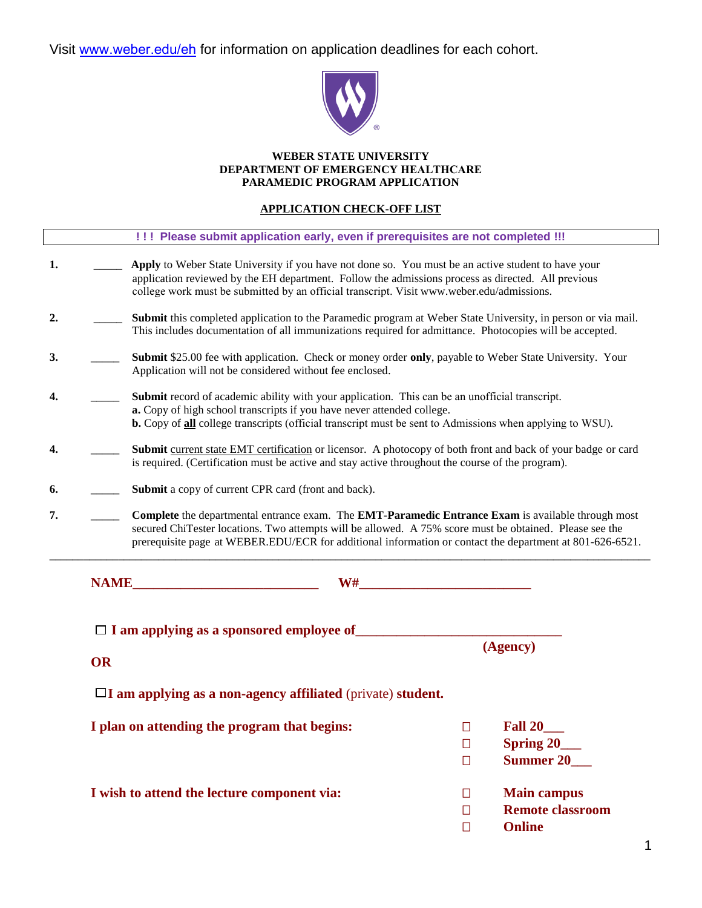

#### **WEBER STATE UNIVERSITY DEPARTMENT OF EMERGENCY HEALTHCARE PARAMEDIC PROGRAM APPLICATION**

#### **APPLICATION CHECK-OFF LIST**

|    |           | !!! Please submit application early, even if prerequisites are not completed !!!                                                                                                                                                                                                                                          |                            |                                                                |
|----|-----------|---------------------------------------------------------------------------------------------------------------------------------------------------------------------------------------------------------------------------------------------------------------------------------------------------------------------------|----------------------------|----------------------------------------------------------------|
| 1. |           | Apply to Weber State University if you have not done so. You must be an active student to have your<br>application reviewed by the EH department. Follow the admissions process as directed. All previous<br>college work must be submitted by an official transcript. Visit www.weber.edu/admissions.                    |                            |                                                                |
| 2. |           | Submit this completed application to the Paramedic program at Weber State University, in person or via mail.<br>This includes documentation of all immunizations required for admittance. Photocopies will be accepted.                                                                                                   |                            |                                                                |
| 3. |           | Submit \$25.00 fee with application. Check or money order only, payable to Weber State University. Your<br>Application will not be considered without fee enclosed.                                                                                                                                                       |                            |                                                                |
| 4. |           | <b>Submit</b> record of academic ability with your application. This can be an unofficial transcript.<br>a. Copy of high school transcripts if you have never attended college.<br>b. Copy of all college transcripts (official transcript must be sent to Admissions when applying to WSU).                              |                            |                                                                |
| 4. |           | Submit current state EMT certification or licensor. A photocopy of both front and back of your badge or card<br>is required. (Certification must be active and stay active throughout the course of the program).                                                                                                         |                            |                                                                |
| 6. |           | Submit a copy of current CPR card (front and back).                                                                                                                                                                                                                                                                       |                            |                                                                |
| 7. |           | Complete the departmental entrance exam. The EMT-Paramedic Entrance Exam is available through most<br>secured ChiTester locations. Two attempts will be allowed. A 75% score must be obtained. Please see the<br>prerequisite page at WEBER.EDU/ECR for additional information or contact the department at 801-626-6521. |                            |                                                                |
|    |           |                                                                                                                                                                                                                                                                                                                           |                            |                                                                |
|    |           | $\Box$ I am applying as a sponsored employee of                                                                                                                                                                                                                                                                           |                            |                                                                |
|    | <b>OR</b> |                                                                                                                                                                                                                                                                                                                           |                            | (Agency)                                                       |
|    |           | $\Box$ I am applying as a non-agency affiliated (private) student.                                                                                                                                                                                                                                                        |                            |                                                                |
|    |           | I plan on attending the program that begins:                                                                                                                                                                                                                                                                              | $\Box$<br>$\Box$<br>$\Box$ | <b>Fall 20</b><br>Spring 20___<br>Summer 20                    |
|    |           | I wish to attend the lecture component via:                                                                                                                                                                                                                                                                               | $\Box$<br>$\Box$<br>$\Box$ | <b>Main campus</b><br><b>Remote classroom</b><br><b>Online</b> |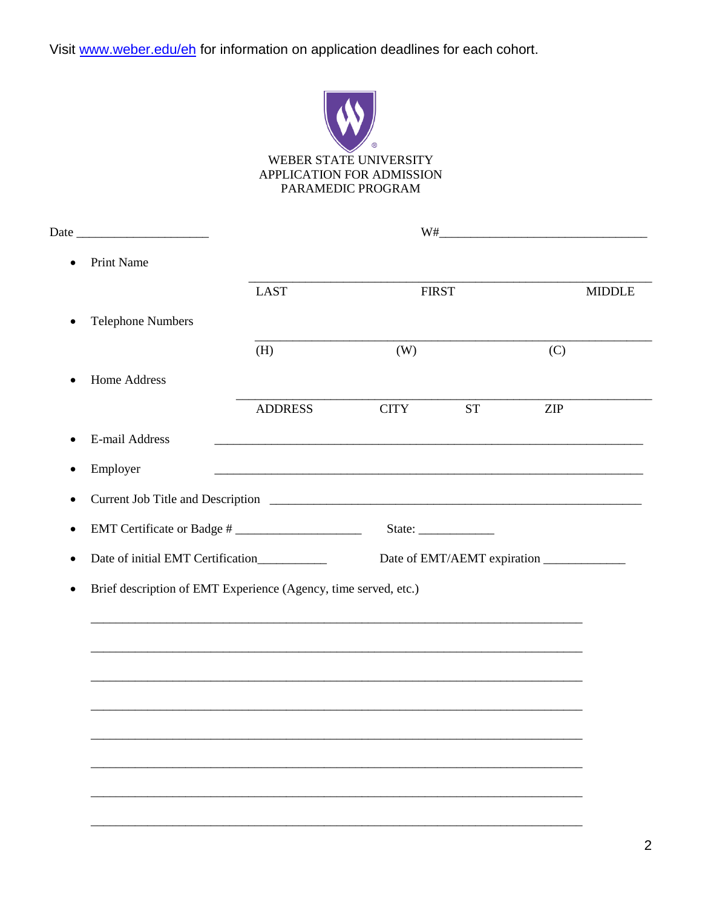

WEBER STATE UNIVERSITY APPLICATION FOR ADMISSION PARAMEDIC PROGRAM

| $\bullet$ | <b>Print Name</b>                                               |                                                             |             |              |               |
|-----------|-----------------------------------------------------------------|-------------------------------------------------------------|-------------|--------------|---------------|
|           |                                                                 | <b>LAST</b>                                                 |             | <b>FIRST</b> | <b>MIDDLE</b> |
| $\bullet$ | <b>Telephone Numbers</b>                                        |                                                             |             |              |               |
|           |                                                                 | (H)                                                         | (W)         |              | (C)           |
|           | Home Address                                                    |                                                             |             |              |               |
|           |                                                                 | <b>ADDRESS</b>                                              | <b>CITY</b> | <b>ST</b>    | ZIP           |
| $\bullet$ | E-mail Address                                                  | <u> 1989 - Johann Stoff, amerikansk politiker (d. 1989)</u> |             |              |               |
| ٠         | Employer                                                        |                                                             |             |              |               |
| $\bullet$ |                                                                 |                                                             |             |              |               |
| $\bullet$ | EMT Certificate or Badge #                                      |                                                             |             | State:       |               |
| ٠         | Date of initial EMT Certification___________                    |                                                             |             |              |               |
| $\bullet$ | Brief description of EMT Experience (Agency, time served, etc.) |                                                             |             |              |               |
|           |                                                                 |                                                             |             |              |               |
|           |                                                                 |                                                             |             |              |               |
|           |                                                                 |                                                             |             |              |               |
|           |                                                                 |                                                             |             |              |               |
|           |                                                                 |                                                             |             |              |               |
|           |                                                                 |                                                             |             |              |               |
|           |                                                                 |                                                             |             |              |               |
|           |                                                                 |                                                             |             |              |               |
|           |                                                                 |                                                             |             |              |               |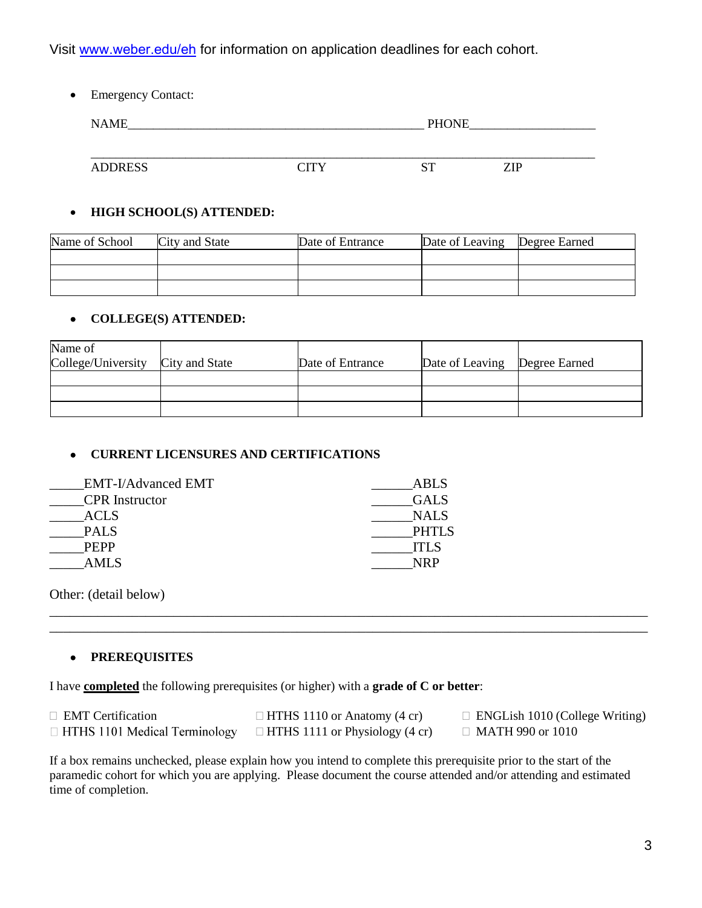• Emergency Contact:

| <b>NAME</b>    |            |         | <b>PHONE</b> |  |
|----------------|------------|---------|--------------|--|
|                |            |         |              |  |
| <b>ADDRESS</b> | <b>TTV</b> | cт<br>ມ | <b>ZIP</b>   |  |

#### **HIGH SCHOOL(S) ATTENDED:**

| Name of School | City and State | Date of Entrance | Date of Leaving   Degree Earned |  |
|----------------|----------------|------------------|---------------------------------|--|
|                |                |                  |                                 |  |
|                |                |                  |                                 |  |
|                |                |                  |                                 |  |

#### **COLLEGE(S) ATTENDED:**

| Name of<br>College/University | City and State | Date of Entrance | Date of Leaving | Degree Earned |
|-------------------------------|----------------|------------------|-----------------|---------------|
|                               |                |                  |                 |               |
|                               |                |                  |                 |               |
|                               |                |                  |                 |               |

### **CURRENT LICENSURES AND CERTIFICATIONS**

| <b>EMT-I/Advanced EMT</b> | ABLS         |
|---------------------------|--------------|
| <b>CPR</b> Instructor     | <b>GALS</b>  |
| ACLS                      | <b>NALS</b>  |
| <b>PALS</b>               | <b>PHTLS</b> |
| <b>PEPP</b>               | ITI S        |
| AML S                     | NRP          |

Other: (detail below)

#### **PREREQUISITES**

I have **completed** the following prerequisites (or higher) with a **grade of C or better**:

| $\Box$ EMT Certification             | $\Box$ HTHS 1110 or Anatomy (4 cr)    | $\Box$ ENGLish 1010 (College Writing) |
|--------------------------------------|---------------------------------------|---------------------------------------|
| $\Box$ HTHS 1101 Medical Terminology | $\Box$ HTHS 1111 or Physiology (4 cr) | $\Box$ MATH 990 or 1010               |

\_\_\_\_\_\_\_\_\_\_\_\_\_\_\_\_\_\_\_\_\_\_\_\_\_\_\_\_\_\_\_\_\_\_\_\_\_\_\_\_\_\_\_\_\_\_\_\_\_\_\_\_\_\_\_\_\_\_\_\_\_\_\_\_\_\_\_\_\_\_\_\_\_\_\_\_\_\_\_\_\_\_\_\_\_\_\_ \_\_\_\_\_\_\_\_\_\_\_\_\_\_\_\_\_\_\_\_\_\_\_\_\_\_\_\_\_\_\_\_\_\_\_\_\_\_\_\_\_\_\_\_\_\_\_\_\_\_\_\_\_\_\_\_\_\_\_\_\_\_\_\_\_\_\_\_\_\_\_\_\_\_\_\_\_\_\_\_\_\_\_\_\_\_\_

If a box remains unchecked, please explain how you intend to complete this prerequisite prior to the start of the paramedic cohort for which you are applying. Please document the course attended and/or attending and estimated time of completion.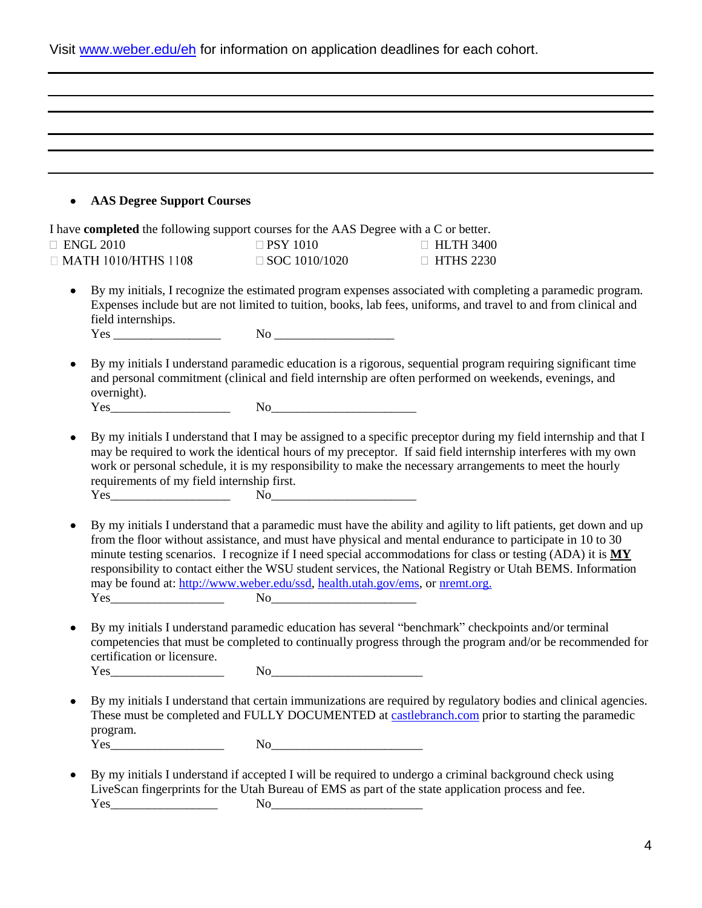|  |  |  | Visit www.weber.edu/eh for information on application deadlines for each cohort. |
|--|--|--|----------------------------------------------------------------------------------|
|--|--|--|----------------------------------------------------------------------------------|

| <b>AAS Degree Support Courses</b><br>$\bullet$                                                                                                                                                                                                                                        |                                                                                                                                                                                                                                                                                                                                                                    |                                                                                                                                                                                                                                                                                                                                                                                                                                                           |
|---------------------------------------------------------------------------------------------------------------------------------------------------------------------------------------------------------------------------------------------------------------------------------------|--------------------------------------------------------------------------------------------------------------------------------------------------------------------------------------------------------------------------------------------------------------------------------------------------------------------------------------------------------------------|-----------------------------------------------------------------------------------------------------------------------------------------------------------------------------------------------------------------------------------------------------------------------------------------------------------------------------------------------------------------------------------------------------------------------------------------------------------|
|                                                                                                                                                                                                                                                                                       | I have <b>completed</b> the following support courses for the AAS Degree with a C or better.                                                                                                                                                                                                                                                                       |                                                                                                                                                                                                                                                                                                                                                                                                                                                           |
| $\Box$ ENGL 2010                                                                                                                                                                                                                                                                      | $\Box$ PSY 1010                                                                                                                                                                                                                                                                                                                                                    | $\Box$ HLTH 3400                                                                                                                                                                                                                                                                                                                                                                                                                                          |
| $\Box$ MATH 1010/HTHS 1108                                                                                                                                                                                                                                                            | $\Box$ SOC 1010/1020                                                                                                                                                                                                                                                                                                                                               | $\Box$ HTHS 2230                                                                                                                                                                                                                                                                                                                                                                                                                                          |
| $\bullet$<br>field internships.                                                                                                                                                                                                                                                       |                                                                                                                                                                                                                                                                                                                                                                    | By my initials, I recognize the estimated program expenses associated with completing a paramedic program.<br>Expenses include but are not limited to tuition, books, lab fees, uniforms, and travel to and from clinical and                                                                                                                                                                                                                             |
|                                                                                                                                                                                                                                                                                       |                                                                                                                                                                                                                                                                                                                                                                    |                                                                                                                                                                                                                                                                                                                                                                                                                                                           |
| ٠<br>overnight).                                                                                                                                                                                                                                                                      |                                                                                                                                                                                                                                                                                                                                                                    | By my initials I understand paramedic education is a rigorous, sequential program requiring significant time<br>and personal commitment (clinical and field internship are often performed on weekends, evenings, and                                                                                                                                                                                                                                     |
|                                                                                                                                                                                                                                                                                       | $Yes$ $No$ $No$                                                                                                                                                                                                                                                                                                                                                    |                                                                                                                                                                                                                                                                                                                                                                                                                                                           |
| ٠<br>requirements of my field internship first.                                                                                                                                                                                                                                       | $Yes$ $No$                                                                                                                                                                                                                                                                                                                                                         | By my initials I understand that I may be assigned to a specific preceptor during my field internship and that I<br>may be required to work the identical hours of my preceptor. If said field internship interferes with my own<br>work or personal schedule, it is my responsibility to make the necessary arrangements to meet the hourly                                                                                                              |
|                                                                                                                                                                                                                                                                                       |                                                                                                                                                                                                                                                                                                                                                                    |                                                                                                                                                                                                                                                                                                                                                                                                                                                           |
| ٠<br>$Yes_$                                                                                                                                                                                                                                                                           | may be found at: http://www.weber.edu/ssd, health.utah.gov/ems, or nremt.org.                                                                                                                                                                                                                                                                                      | By my initials I understand that a paramedic must have the ability and agility to lift patients, get down and up<br>from the floor without assistance, and must have physical and mental endurance to participate in 10 to 30<br>minute testing scenarios. I recognize if I need special accommodations for class or testing (ADA) it is MY<br>responsibility to contact either the WSU student services, the National Registry or Utah BEMS. Information |
| certification or licensure.                                                                                                                                                                                                                                                           |                                                                                                                                                                                                                                                                                                                                                                    | By my initials I understand paramedic education has several "benchmark" checkpoints and/or terminal<br>competencies that must be completed to continually progress through the program and/or be recommended for                                                                                                                                                                                                                                          |
|                                                                                                                                                                                                                                                                                       | $\begin{picture}(150,10) \put(0,0){\vector(1,0){100}} \put(15,0){\vector(1,0){100}} \put(15,0){\vector(1,0){100}} \put(15,0){\vector(1,0){100}} \put(15,0){\vector(1,0){100}} \put(15,0){\vector(1,0){100}} \put(15,0){\vector(1,0){100}} \put(15,0){\vector(1,0){100}} \put(15,0){\vector(1,0){100}} \put(15,0){\vector(1,0){100}} \put(15,0){\vector(1,0){100}}$ |                                                                                                                                                                                                                                                                                                                                                                                                                                                           |
| ٠<br>program.                                                                                                                                                                                                                                                                         |                                                                                                                                                                                                                                                                                                                                                                    | By my initials I understand that certain immunizations are required by regulatory bodies and clinical agencies.<br>These must be completed and FULLY DOCUMENTED at castlebranch.com prior to starting the paramedic                                                                                                                                                                                                                                       |
| $Yes$ and $Yes$ and $Yes$ and $Yes$ and $Yes$ and $Yes$ and $Yes$ and $Yes$ and $Yes$ and $Yes$ and $Yes$ and $Yes$ and $Yes$ and $Yes$ and $Yes$ and $Yes$ and $Yes$ and $Yes$ and $Yes$ and $Yes$ and $Yes$ and $Yes$ and $Yes$ and $Yes$ and $Yes$ and $Yes$ and $Yes$ and $Yes$ a | No                                                                                                                                                                                                                                                                                                                                                                 |                                                                                                                                                                                                                                                                                                                                                                                                                                                           |
|                                                                                                                                                                                                                                                                                       |                                                                                                                                                                                                                                                                                                                                                                    |                                                                                                                                                                                                                                                                                                                                                                                                                                                           |
| ٠                                                                                                                                                                                                                                                                                     |                                                                                                                                                                                                                                                                                                                                                                    | By my initials I understand if accepted I will be required to undergo a criminal background check using<br>LiveScan fingerprints for the Utah Bureau of EMS as part of the state application process and fee.                                                                                                                                                                                                                                             |
|                                                                                                                                                                                                                                                                                       | No                                                                                                                                                                                                                                                                                                                                                                 |                                                                                                                                                                                                                                                                                                                                                                                                                                                           |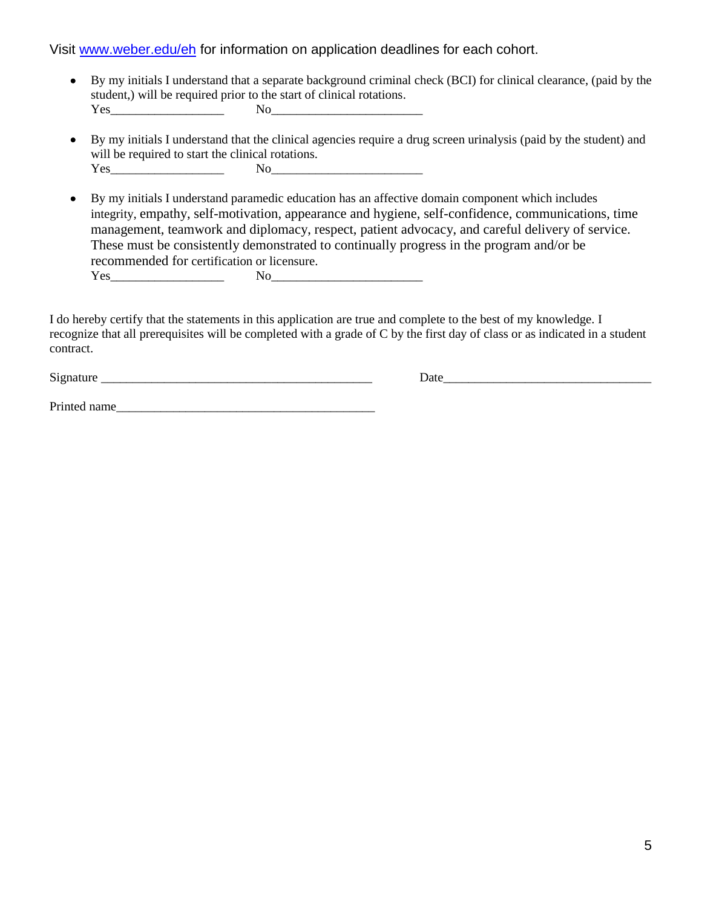- By my initials I understand that a separate background criminal check (BCI) for clinical clearance, (paid by the student,) will be required prior to the start of clinical rotations. Yes\_\_\_\_\_\_\_\_\_\_\_\_\_\_\_\_\_\_ No\_\_\_\_\_\_\_\_\_\_\_\_\_\_\_\_\_\_\_\_\_\_\_\_
- By my initials I understand that the clinical agencies require a drug screen urinalysis (paid by the student) and will be required to start the clinical rotations.  $Yes$  No  $No$

 By my initials I understand paramedic education has an affective domain component which includes integrity, empathy, self-motivation, appearance and hygiene, self-confidence, communications, time management, teamwork and diplomacy, respect, patient advocacy, and careful delivery of service. These must be consistently demonstrated to continually progress in the program and/or be recommended for certification or licensure. Yes\_\_\_\_\_\_\_\_\_\_\_\_\_\_\_\_\_\_ No\_\_\_\_\_\_\_\_\_\_\_\_\_\_\_\_\_\_\_\_\_\_\_\_

I do hereby certify that the statements in this application are true and complete to the best of my knowledge. I recognize that all prerequisites will be completed with a grade of C by the first day of class or as indicated in a student contract.

Signature the contract of the contract of the contract of the contract of the contract of the contract of the contract of the contract of the contract of the contract of the contract of the contract of the contract of the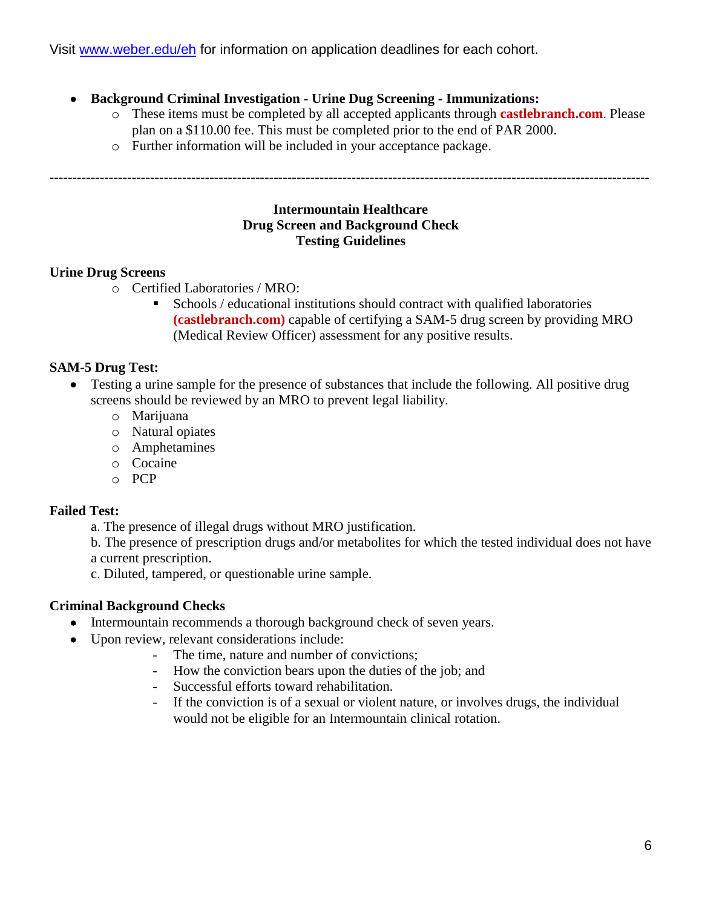## **Background Criminal Investigation - Urine Dug Screening - Immunizations:**

- o These items must be completed by all accepted applicants through **castlebranch.com**. Please plan on a \$110.00 fee. This must be completed prior to the end of PAR 2000.
- o Further information will be included in your acceptance package.

**-----------------------------------------------------------------------------------------------------------------------------------**

#### **Intermountain Healthcare Drug Screen and Background Check Testing Guidelines**

## **Urine Drug Screens**

- o Certified Laboratories / MRO:
	- Schools / educational institutions should contract with qualified laboratories **(castlebranch.com)** capable of certifying a SAM-5 drug screen by providing MRO (Medical Review Officer) assessment for any positive results.

## **SAM-5 Drug Test:**

- Testing a urine sample for the presence of substances that include the following. All positive drug screens should be reviewed by an MRO to prevent legal liability.
	- o Marijuana
	- o Natural opiates
	- o Amphetamines
	- o Cocaine
	- o PCP

# **Failed Test:**

a. The presence of illegal drugs without MRO justification.

b. The presence of prescription drugs and/or metabolites for which the tested individual does not have a current prescription.

c. Diluted, tampered, or questionable urine sample.

# **Criminal Background Checks**

- Intermountain recommends a thorough background check of seven years.
- Upon review, relevant considerations include:
	- The time, nature and number of convictions;
	- How the conviction bears upon the duties of the job; and
	- Successful efforts toward rehabilitation.
	- If the conviction is of a sexual or violent nature, or involves drugs, the individual would not be eligible for an Intermountain clinical rotation.